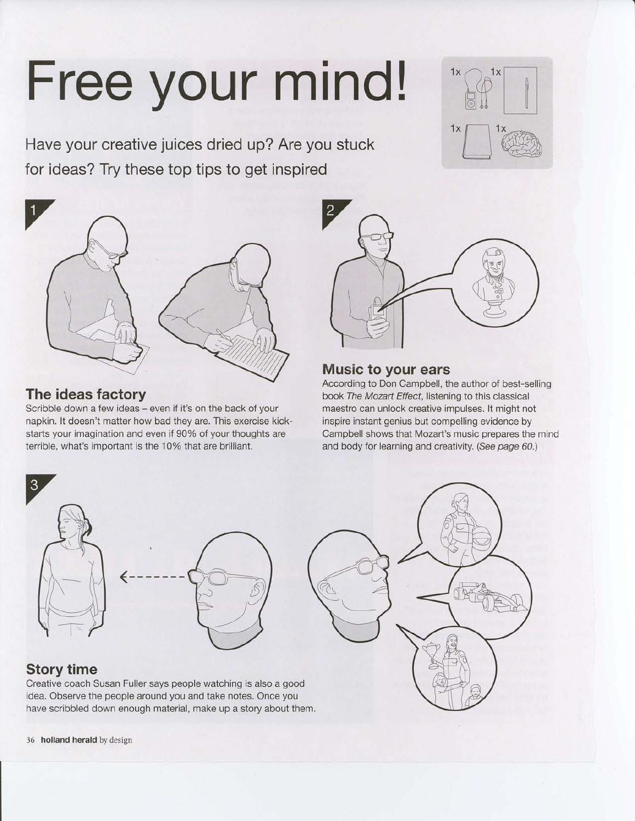# Free your mind! \*\*

Have your creative juices dried up? Are you stuck for ideas? Try these top tips to get inspired



### The ideas factory

Scribble down a few ideas - even if it's on the back of your napkin. lt doesn't matter how bad they are. This exercise kickstarts your imagination and even if 90% of your thoughts are terrible, what's important is the 10% that are brilliant.



 $\frac{1}{\sqrt{2}}$ 

#### Music to your ears

According to Don Campbell, the author of best-selling book The Mozart Effect, listening to this classical maestro can unlock creative impulses. lt might not inspire instant genius but compelling evidence by Campbell shows that Mozart's music prepares the mind and body for learning and creativity. (See page 60.)



#### Story time

Creative coach Susan Fuller says people watching is also a good idea. Observe the people around you and take notes. Once you have scribbled down enough material, make up a story about them.

36 holland herald by design